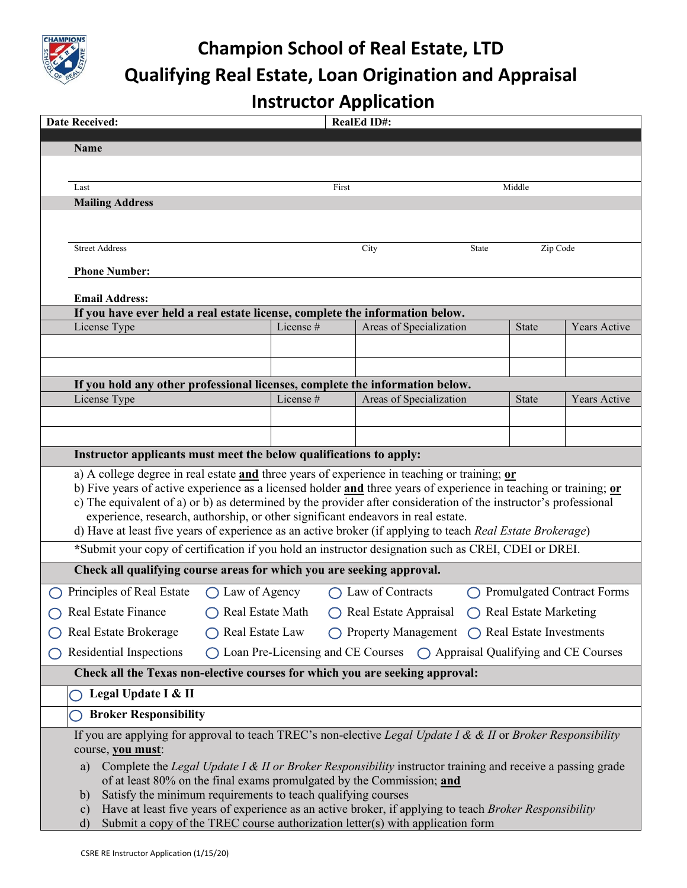

## **Champion School of Real Estate, LTD Qualifying Real Estate, Loan Origination and Appraisal Instructor Application**

| <b>Date Received:</b>                                                                                                                                                                                                                                                                                                                                                                                                                                                                                                                                                                                                                           |                                                                                                                          |           | <b>RealEd ID#:</b>                                                                                                                                                                     |          |              |              |  |  |  |  |
|-------------------------------------------------------------------------------------------------------------------------------------------------------------------------------------------------------------------------------------------------------------------------------------------------------------------------------------------------------------------------------------------------------------------------------------------------------------------------------------------------------------------------------------------------------------------------------------------------------------------------------------------------|--------------------------------------------------------------------------------------------------------------------------|-----------|----------------------------------------------------------------------------------------------------------------------------------------------------------------------------------------|----------|--------------|--------------|--|--|--|--|
| Name                                                                                                                                                                                                                                                                                                                                                                                                                                                                                                                                                                                                                                            |                                                                                                                          |           |                                                                                                                                                                                        |          |              |              |  |  |  |  |
|                                                                                                                                                                                                                                                                                                                                                                                                                                                                                                                                                                                                                                                 |                                                                                                                          |           |                                                                                                                                                                                        |          |              |              |  |  |  |  |
| Last                                                                                                                                                                                                                                                                                                                                                                                                                                                                                                                                                                                                                                            |                                                                                                                          | First     |                                                                                                                                                                                        |          | Middle       |              |  |  |  |  |
| <b>Mailing Address</b>                                                                                                                                                                                                                                                                                                                                                                                                                                                                                                                                                                                                                          |                                                                                                                          |           |                                                                                                                                                                                        |          |              |              |  |  |  |  |
|                                                                                                                                                                                                                                                                                                                                                                                                                                                                                                                                                                                                                                                 |                                                                                                                          |           |                                                                                                                                                                                        |          |              |              |  |  |  |  |
| <b>Street Address</b>                                                                                                                                                                                                                                                                                                                                                                                                                                                                                                                                                                                                                           |                                                                                                                          |           | City                                                                                                                                                                                   | State    |              |              |  |  |  |  |
|                                                                                                                                                                                                                                                                                                                                                                                                                                                                                                                                                                                                                                                 |                                                                                                                          |           |                                                                                                                                                                                        | Zip Code |              |              |  |  |  |  |
| <b>Phone Number:</b>                                                                                                                                                                                                                                                                                                                                                                                                                                                                                                                                                                                                                            |                                                                                                                          |           |                                                                                                                                                                                        |          |              |              |  |  |  |  |
| <b>Email Address:</b>                                                                                                                                                                                                                                                                                                                                                                                                                                                                                                                                                                                                                           |                                                                                                                          |           |                                                                                                                                                                                        |          |              |              |  |  |  |  |
| If you have ever held a real estate license, complete the information below.<br>License #                                                                                                                                                                                                                                                                                                                                                                                                                                                                                                                                                       |                                                                                                                          |           |                                                                                                                                                                                        |          |              |              |  |  |  |  |
|                                                                                                                                                                                                                                                                                                                                                                                                                                                                                                                                                                                                                                                 | License Type                                                                                                             |           | Areas of Specialization                                                                                                                                                                |          | <b>State</b> | Years Active |  |  |  |  |
|                                                                                                                                                                                                                                                                                                                                                                                                                                                                                                                                                                                                                                                 |                                                                                                                          |           |                                                                                                                                                                                        |          |              |              |  |  |  |  |
|                                                                                                                                                                                                                                                                                                                                                                                                                                                                                                                                                                                                                                                 |                                                                                                                          |           |                                                                                                                                                                                        |          |              |              |  |  |  |  |
| License Type                                                                                                                                                                                                                                                                                                                                                                                                                                                                                                                                                                                                                                    | If you hold any other professional licenses, complete the information below.                                             |           | Areas of Specialization                                                                                                                                                                |          | <b>State</b> | Years Active |  |  |  |  |
|                                                                                                                                                                                                                                                                                                                                                                                                                                                                                                                                                                                                                                                 |                                                                                                                          | License # |                                                                                                                                                                                        |          |              |              |  |  |  |  |
|                                                                                                                                                                                                                                                                                                                                                                                                                                                                                                                                                                                                                                                 |                                                                                                                          |           |                                                                                                                                                                                        |          |              |              |  |  |  |  |
| Instructor applicants must meet the below qualifications to apply:                                                                                                                                                                                                                                                                                                                                                                                                                                                                                                                                                                              |                                                                                                                          |           |                                                                                                                                                                                        |          |              |              |  |  |  |  |
| a) A college degree in real estate and three years of experience in teaching or training; or<br>b) Five years of active experience as a licensed holder and three years of experience in teaching or training; or<br>c) The equivalent of a) or b) as determined by the provider after consideration of the instructor's professional<br>experience, research, authorship, or other significant endeavors in real estate.<br>d) Have at least five years of experience as an active broker (if applying to teach Real Estate Brokerage)<br>*Submit your copy of certification if you hold an instructor designation such as CREI, CDEI or DREI. |                                                                                                                          |           |                                                                                                                                                                                        |          |              |              |  |  |  |  |
| Check all qualifying course areas for which you are seeking approval.                                                                                                                                                                                                                                                                                                                                                                                                                                                                                                                                                                           |                                                                                                                          |           |                                                                                                                                                                                        |          |              |              |  |  |  |  |
|                                                                                                                                                                                                                                                                                                                                                                                                                                                                                                                                                                                                                                                 |                                                                                                                          |           |                                                                                                                                                                                        |          |              |              |  |  |  |  |
|                                                                                                                                                                                                                                                                                                                                                                                                                                                                                                                                                                                                                                                 | <b>Promulgated Contract Forms</b><br>Principles of Real Estate<br>$\bigcirc$ Law of Agency<br>$\bigcap$ Law of Contracts |           |                                                                                                                                                                                        |          |              |              |  |  |  |  |
| <b>Real Estate Finance</b><br>Real Estate Math<br>$\bigcap$ Real Estate Appraisal<br>$\bigcap$ Real Estate Marketing                                                                                                                                                                                                                                                                                                                                                                                                                                                                                                                            |                                                                                                                          |           |                                                                                                                                                                                        |          |              |              |  |  |  |  |
| $\bigcirc$ Property Management $\bigcirc$ Real Estate Investments<br>Real Estate Brokerage<br>◯ Real Estate Law                                                                                                                                                                                                                                                                                                                                                                                                                                                                                                                                 |                                                                                                                          |           |                                                                                                                                                                                        |          |              |              |  |  |  |  |
| Residential Inspections<br>Loan Pre-Licensing and CE Courses  (Colonses Appraisal Qualifying and CE Courses                                                                                                                                                                                                                                                                                                                                                                                                                                                                                                                                     |                                                                                                                          |           |                                                                                                                                                                                        |          |              |              |  |  |  |  |
| Check all the Texas non-elective courses for which you are seeking approval:                                                                                                                                                                                                                                                                                                                                                                                                                                                                                                                                                                    |                                                                                                                          |           |                                                                                                                                                                                        |          |              |              |  |  |  |  |
| Legal Update I & II                                                                                                                                                                                                                                                                                                                                                                                                                                                                                                                                                                                                                             |                                                                                                                          |           |                                                                                                                                                                                        |          |              |              |  |  |  |  |
| <b>Broker Responsibility</b>                                                                                                                                                                                                                                                                                                                                                                                                                                                                                                                                                                                                                    |                                                                                                                          |           |                                                                                                                                                                                        |          |              |              |  |  |  |  |
| If you are applying for approval to teach TREC's non-elective <i>Legal Update I &amp; &amp; II</i> or <i>Broker Responsibility</i><br>course, you must:<br>Complete the Legal Update I & II or Broker Responsibility instructor training and receive a passing grade<br>a)<br>Satisfy the minimum requirements to teach qualifying courses<br>b)<br>$\mathbf{c})$                                                                                                                                                                                                                                                                               |                                                                                                                          |           | of at least 80% on the final exams promulgated by the Commission; and<br>Have at least five years of experience as an active broker, if applying to teach <i>Broker Responsibility</i> |          |              |              |  |  |  |  |
| d)                                                                                                                                                                                                                                                                                                                                                                                                                                                                                                                                                                                                                                              |                                                                                                                          |           | Submit a copy of the TREC course authorization letter(s) with application form                                                                                                         |          |              |              |  |  |  |  |